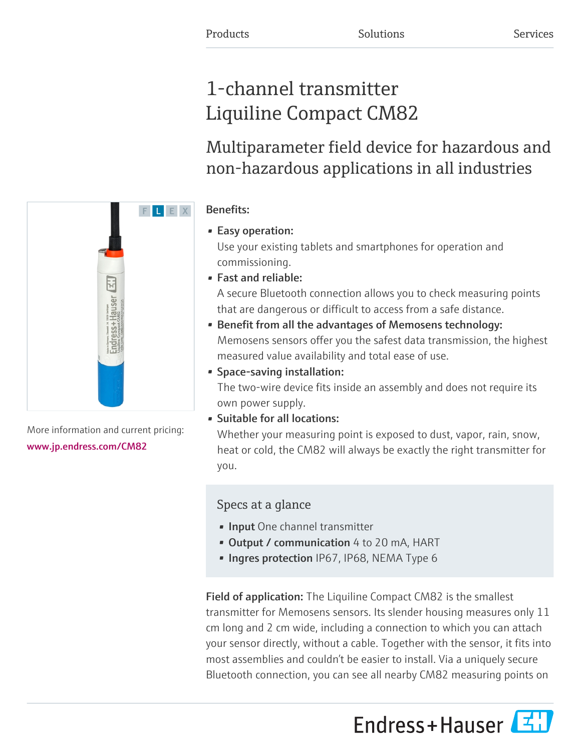# 1-channel transmitter Liquiline Compact CM82

Multiparameter field device for hazardous and non-hazardous applications in all industries

# Benefits:

# • Easy operation:

Use your existing tablets and smartphones for operation and commissioning.

• Fast and reliable:

A secure Bluetooth connection allows you to check measuring points that are dangerous or difficult to access from a safe distance.

- Benefit from all the advantages of Memosens technology: Memosens sensors offer you the safest data transmission, the highest measured value availability and total ease of use.
- Space-saving installation:

The two-wire device fits inside an assembly and does not require its own power supply.

• Suitable for all locations:

Whether your measuring point is exposed to dust, vapor, rain, snow, heat or cold, the CM82 will always be exactly the right transmitter for you.

# Specs at a glance

- **· Input** One channel transmitter
- Output / communication 4 to 20 mA, HART
- Ingres protection IP67, IP68, NEMA Type 6

Field of application: The Liquiline Compact CM82 is the smallest transmitter for Memosens sensors. Its slender housing measures only 11 cm long and 2 cm wide, including a connection to which you can attach your sensor directly, without a cable. Together with the sensor, it fits into most assemblies and couldn't be easier to install. Via a uniquely secure Bluetooth connection, you can see all nearby CM82 measuring points on





More information and current pricing: [www.jp.endress.com/CM82](https://www.jp.endress.com/CM82)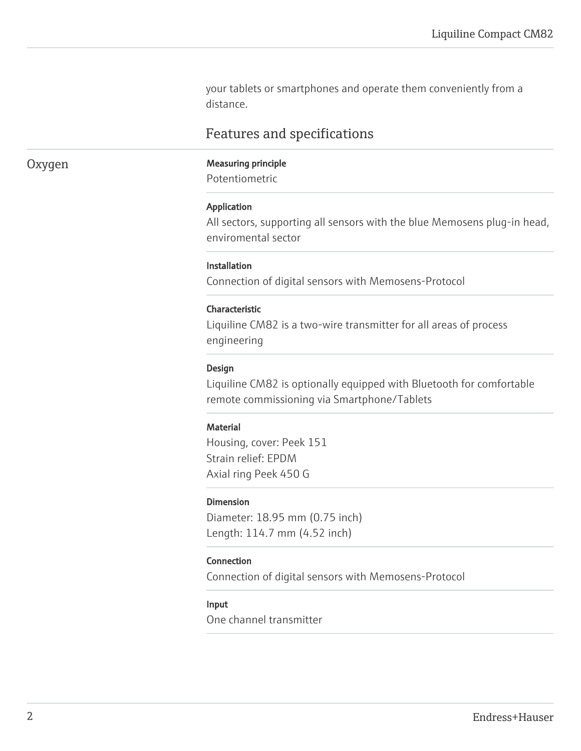your tablets or smartphones and operate them conveniently from a distance.

# Features and specifications

# Oxygen Measuring principle

Potentiometric

#### Application

All sectors, supporting all sensors with the blue Memosens plug-in head, enviromental sector

#### Installation

Connection of digital sensors with Memosens-Protocol

#### Characteristic

Liquiline CM82 is a two-wire transmitter for all areas of process engineering

#### Design

Liquiline CM82 is optionally equipped with Bluetooth for comfortable remote commissioning via Smartphone/Tablets

#### **Material**

Housing, cover: Peek 151 Strain relief: EPDM Axial ring Peek 450 G

#### Dimension

Diameter: 18.95 mm (0.75 inch) Length: 114.7 mm (4.52 inch)

#### Connection

Connection of digital sensors with Memosens-Protocol

#### Input

One channel transmitter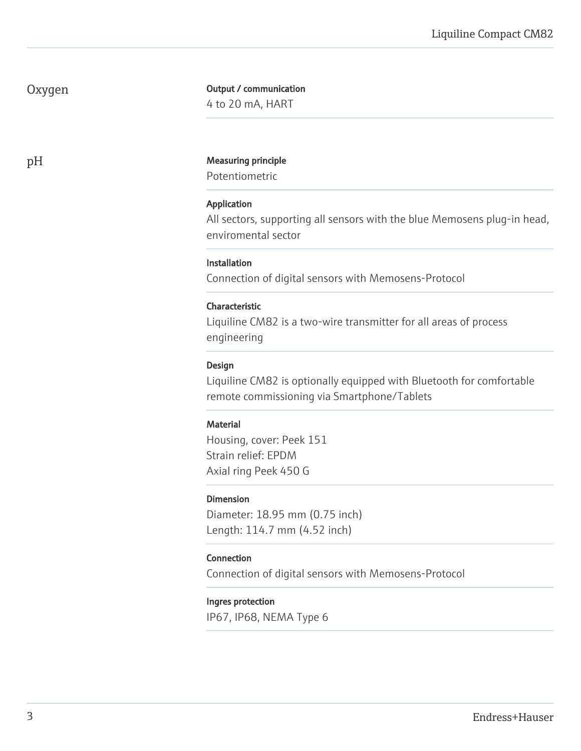# Oxygen

### Output / communication

4 to 20 mA, HART

# pH Measuring principle

Potentiometric

#### Application

All sectors, supporting all sensors with the blue Memosens plug-in head, enviromental sector

#### **Installation**

Connection of digital sensors with Memosens-Protocol

#### Characteristic

Liquiline CM82 is a two-wire transmitter for all areas of process engineering

#### Design

Liquiline CM82 is optionally equipped with Bluetooth for comfortable remote commissioning via Smartphone/Tablets

#### **Material**

Housing, cover: Peek 151 Strain relief: EPDM Axial ring Peek 450 G

#### Dimension

Diameter: 18.95 mm (0.75 inch) Length: 114.7 mm (4.52 inch)

#### Connection

Connection of digital sensors with Memosens-Protocol

#### Ingres protection

IP67, IP68, NEMA Type 6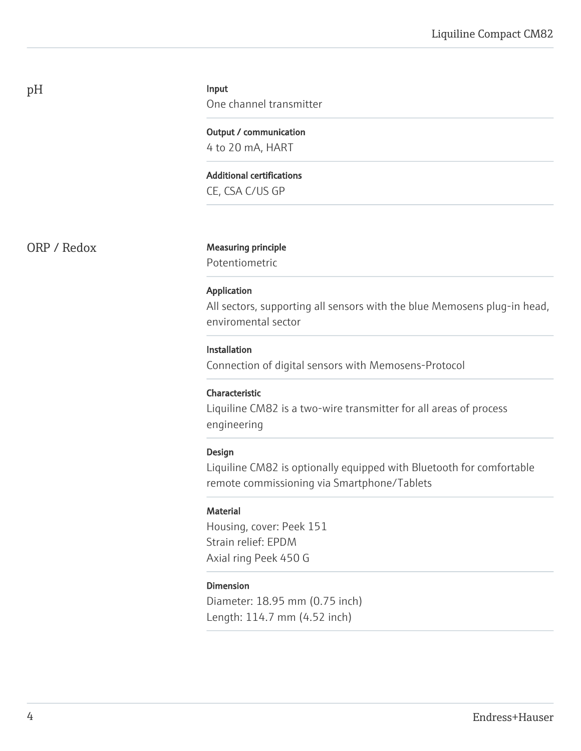# Input

One channel transmitter

Output / communication 4 to 20 mA, HART

Additional certifications

CE, CSA C/US GP

ORP / Redox Measuring principle

Potentiometric

#### Application

All sectors, supporting all sensors with the blue Memosens plug-in head, enviromental sector

#### Installation

Connection of digital sensors with Memosens-Protocol

#### Characteristic

Liquiline CM82 is a two-wire transmitter for all areas of process engineering

#### Design

Liquiline CM82 is optionally equipped with Bluetooth for comfortable remote commissioning via Smartphone/Tablets

#### **Material**

Housing, cover: Peek 151 Strain relief: EPDM Axial ring Peek 450 G

#### Dimension

Diameter: 18.95 mm (0.75 inch) Length: 114.7 mm (4.52 inch)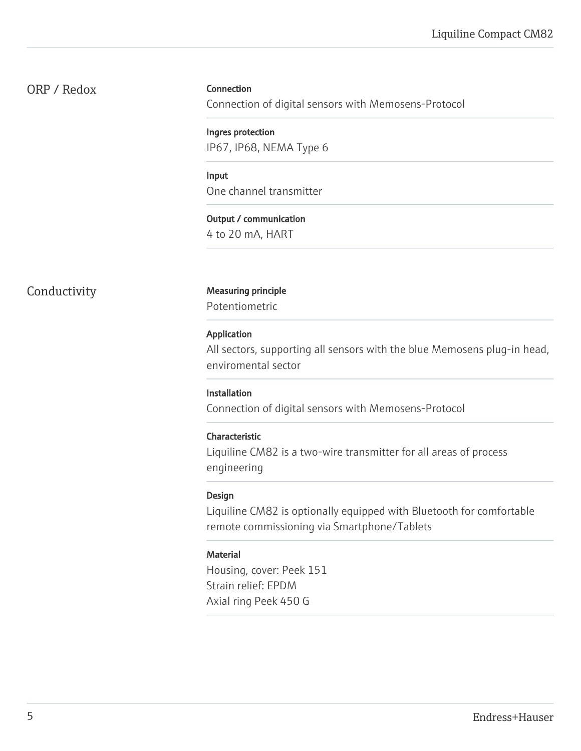# ORP / Redox

#### Connection

Connection of digital sensors with Memosens-Protocol

Ingres protection IP67, IP68, NEMA Type 6

Input One channel transmitter

Output / communication 4 to 20 mA, HART

### Conductivity Measuring principle

Potentiometric

#### Application

All sectors, supporting all sensors with the blue Memosens plug-in head, enviromental sector

#### Installation

Connection of digital sensors with Memosens-Protocol

#### Characteristic

Liquiline CM82 is a two-wire transmitter for all areas of process engineering

#### Design

Liquiline CM82 is optionally equipped with Bluetooth for comfortable remote commissioning via Smartphone/Tablets

#### Material

Housing, cover: Peek 151 Strain relief: EPDM Axial ring Peek 450 G